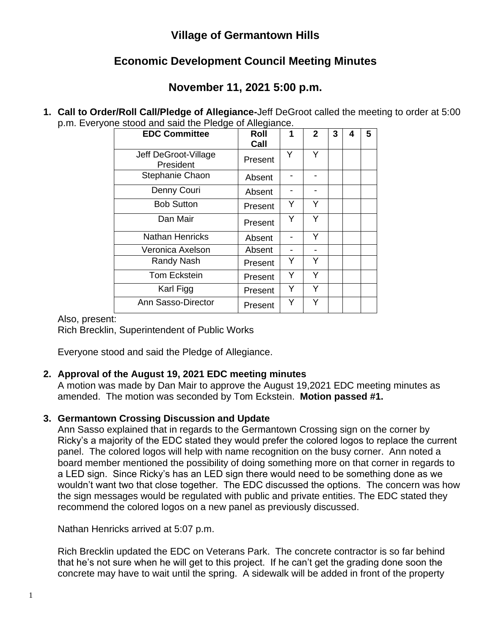## **Village of Germantown Hills**

# **Economic Development Council Meeting Minutes**

# **November 11, 2021 5:00 p.m.**

**1. Call to Order/Roll Call/Pledge of Allegiance-**Jeff DeGroot called the meeting to order at 5:00 p.m. Everyone stood and said the Pledge of Allegiance.

| <b>EDC Committee</b>              | –<br>Roll<br>Call | 1 | $\overline{2}$ | 3 | 4 | 5 |
|-----------------------------------|-------------------|---|----------------|---|---|---|
| Jeff DeGroot-Village<br>President | Present           | Y | Υ              |   |   |   |
| Stephanie Chaon                   | Absent            |   |                |   |   |   |
| Denny Couri                       | Absent            |   |                |   |   |   |
| <b>Bob Sutton</b>                 | Present           | Y | Y              |   |   |   |
| Dan Mair                          | Present           | Y | Y              |   |   |   |
| <b>Nathan Henricks</b>            | Absent            |   | Y              |   |   |   |
| Veronica Axelson                  | Absent            |   |                |   |   |   |
| Randy Nash                        | Present           | Y | Y              |   |   |   |
| <b>Tom Eckstein</b>               | Present           | Y | Y              |   |   |   |
| Karl Figg                         | Present           | Y | Y              |   |   |   |
| Ann Sasso-Director                | Present           | Y | Y              |   |   |   |

#### Also, present:

Rich Brecklin, Superintendent of Public Works

Everyone stood and said the Pledge of Allegiance.

### **2. Approval of the August 19, 2021 EDC meeting minutes**

A motion was made by Dan Mair to approve the August 19,2021 EDC meeting minutes as amended. The motion was seconded by Tom Eckstein. **Motion passed #1.**

### **3. Germantown Crossing Discussion and Update**

Ann Sasso explained that in regards to the Germantown Crossing sign on the corner by Ricky's a majority of the EDC stated they would prefer the colored logos to replace the current panel. The colored logos will help with name recognition on the busy corner. Ann noted a board member mentioned the possibility of doing something more on that corner in regards to a LED sign. Since Ricky's has an LED sign there would need to be something done as we wouldn't want two that close together. The EDC discussed the options. The concern was how the sign messages would be regulated with public and private entities. The EDC stated they recommend the colored logos on a new panel as previously discussed.

Nathan Henricks arrived at 5:07 p.m.

Rich Brecklin updated the EDC on Veterans Park. The concrete contractor is so far behind that he's not sure when he will get to this project. If he can't get the grading done soon the concrete may have to wait until the spring. A sidewalk will be added in front of the property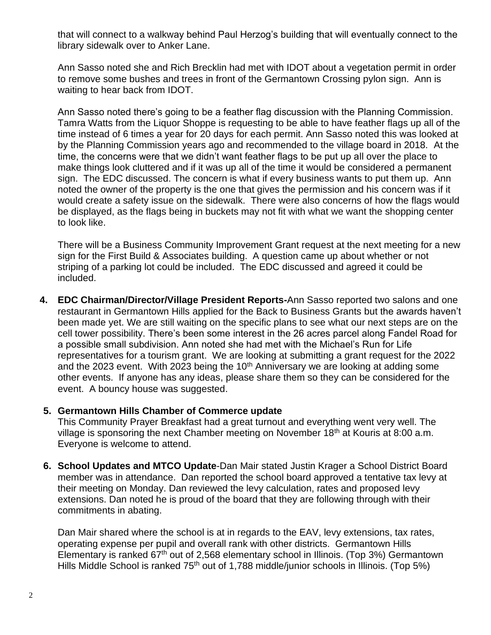that will connect to a walkway behind Paul Herzog's building that will eventually connect to the library sidewalk over to Anker Lane.

Ann Sasso noted she and Rich Brecklin had met with IDOT about a vegetation permit in order to remove some bushes and trees in front of the Germantown Crossing pylon sign. Ann is waiting to hear back from IDOT.

Ann Sasso noted there's going to be a feather flag discussion with the Planning Commission. Tamra Watts from the Liquor Shoppe is requesting to be able to have feather flags up all of the time instead of 6 times a year for 20 days for each permit. Ann Sasso noted this was looked at by the Planning Commission years ago and recommended to the village board in 2018. At the time, the concerns were that we didn't want feather flags to be put up all over the place to make things look cluttered and if it was up all of the time it would be considered a permanent sign. The EDC discussed. The concern is what if every business wants to put them up. Ann noted the owner of the property is the one that gives the permission and his concern was if it would create a safety issue on the sidewalk. There were also concerns of how the flags would be displayed, as the flags being in buckets may not fit with what we want the shopping center to look like.

There will be a Business Community Improvement Grant request at the next meeting for a new sign for the First Build & Associates building. A question came up about whether or not striping of a parking lot could be included. The EDC discussed and agreed it could be included.

**4. EDC Chairman/Director/Village President Reports-**Ann Sasso reported two salons and one restaurant in Germantown Hills applied for the Back to Business Grants but the awards haven't been made yet. We are still waiting on the specific plans to see what our next steps are on the cell tower possibility. There's been some interest in the 26 acres parcel along Fandel Road for a possible small subdivision. Ann noted she had met with the Michael's Run for Life representatives for a tourism grant. We are looking at submitting a grant request for the 2022 and the 2023 event. With 2023 being the  $10<sup>th</sup>$  Anniversary we are looking at adding some other events. If anyone has any ideas, please share them so they can be considered for the event. A bouncy house was suggested.

#### **5. Germantown Hills Chamber of Commerce update**

This Community Prayer Breakfast had a great turnout and everything went very well. The village is sponsoring the next Chamber meeting on November  $18<sup>th</sup>$  at Kouris at 8:00 a.m. Everyone is welcome to attend.

**6. School Updates and MTCO Update**-Dan Mair stated Justin Krager a School District Board member was in attendance. Dan reported the school board approved a tentative tax levy at their meeting on Monday. Dan reviewed the levy calculation, rates and proposed levy extensions. Dan noted he is proud of the board that they are following through with their commitments in abating.

Dan Mair shared where the school is at in regards to the EAV, levy extensions, tax rates, operating expense per pupil and overall rank with other districts. Germantown Hills Elementary is ranked  $67<sup>th</sup>$  out of 2,568 elementary school in Illinois. (Top 3%) Germantown Hills Middle School is ranked 75<sup>th</sup> out of 1,788 middle/junior schools in Illinois. (Top 5%)